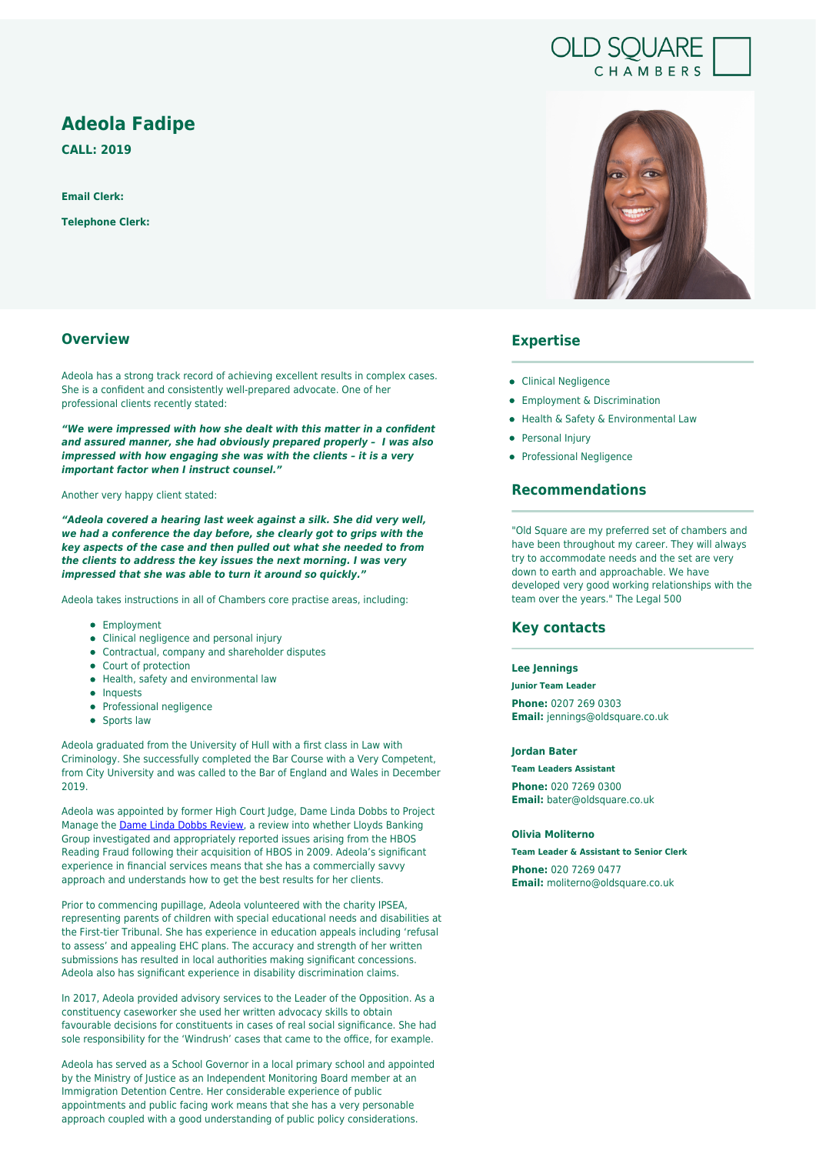# **Adeola Fadipe**

**CALL: 2019**

**Email Clerk:**

**Telephone Clerk:**

# **Overview**

Adeola has a strong track record of achieving excellent results in complex cases. She is a confident and consistently well-prepared advocate. One of her professional clients recently stated:

*"We were impressed with how she dealt with this matter in a confident and assured manner, she had obviously prepared properly – I was also impressed with how engaging she was with the clients – it is a very important factor when I instruct counsel."*

Another very happy client stated:

*"Adeola covered a hearing last week against a silk. She did very well, we had a conference the day before, she clearly got to grips with the key aspects of the case and then pulled out what she needed to from the clients to address the key issues the next morning. I was very impressed that she was able to turn it around so quickly."* 

Adeola takes instructions in all of Chambers core practise areas, including:

- Employment
- Clinical negligence and personal injury
- Contractual, company and shareholder disputes
- Court of protection
- Health, safety and environmental law
- Inquests
- Professional negligence
- **•** Sports law

Adeola graduated from the University of Hull with a first class in Law with Criminology. She successfully completed the Bar Course with a Very Competent, from City University and was called to the Bar of England and Wales in December 2019.

Adeola was appointed by former High Court Judge, Dame Linda Dobbs to Project Manage the **Dame Linda Dobbs Review**, a review into whether Lloyds Banking Group investigated and appropriately reported issues arising from the HBOS Reading Fraud following their acquisition of HBOS in 2009. Adeola's significant experience in financial services means that she has a commercially savvy approach and understands how to get the best results for her clients.

Prior to commencing pupillage, Adeola volunteered with the charity IPSEA, representing parents of children with special educational needs and disabilities at the First-tier Tribunal. She has experience in education appeals including 'refusal to assess' and appealing EHC plans. The accuracy and strength of her written submissions has resulted in local authorities making significant concessions. Adeola also has significant experience in disability discrimination claims.

In 2017, Adeola provided advisory services to the Leader of the Opposition. As a constituency caseworker she used her written advocacy skills to obtain favourable decisions for constituents in cases of real social significance. She had sole responsibility for the 'Windrush' cases that came to the office, for example.

Adeola has served as a School Governor in a local primary school and appointed by the Ministry of Justice as an Independent Monitoring Board member at an Immigration Detention Centre. Her considerable experience of public appointments and public facing work means that she has a very personable approach coupled with a good understanding of public policy considerations.



**OLD SOUARE** 

CHAMBERS

### **Expertise**

- Clinical Negligence
- **•** Employment & Discrimination
- Health & Safety & Environmental Law
- Personal Injury
- Professional Negligence

## **Recommendations**

"Old Square are my preferred set of chambers and have been throughout my career. They will always try to accommodate needs and the set are very down to earth and approachable. We have developed very good working relationships with the team over the years." The Legal 500

### **Key contacts**

#### **Lee Jennings**

**Junior Team Leader**

**Phone:** 0207 269 0303 **Email:** jennings@oldsquare.co.uk

#### **Jordan Bater**

**Team Leaders Assistant**

**Phone:** 020 7269 0300 **Email:** bater@oldsquare.co.uk

### **Olivia Moliterno**

**Team Leader & Assistant to Senior Clerk Phone:** 020 7269 0477 **Email:** moliterno@oldsquare.co.uk